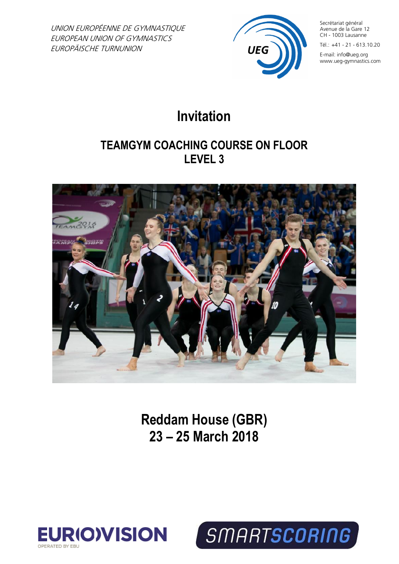UNION EUROPÉENNE DE GYMNASTIQUE EUROPEAN UNION OF GYMNASTICS EUROPÄISCHE TURNUNION



Secrétariat général Avenue de la Gare 12 CH - 1003 Lausanne

Tél.: +41 - 21 - 613.10.20

E-mail: info@ueg.org www.ueg-gymnastics.com

# **Invitation**

## **TEAMGYM COACHING COURSE ON FLOOR LEVEL 3**



**Reddam House (GBR) 23 – 25 March 2018**



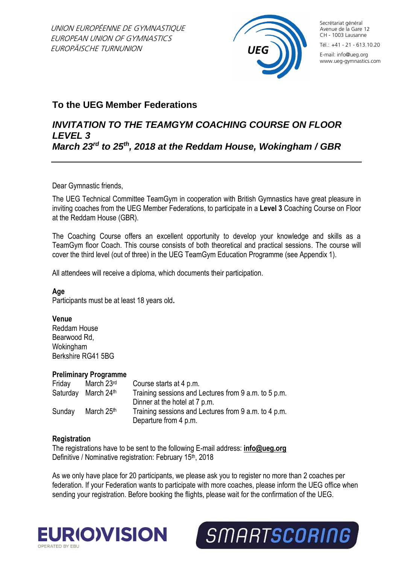

Secrétariat général Avenue de la Gare 12 CH - 1003 Lausanne

Tél.: +41 - 21 - 613.10.20

E-mail: info@ueg.org www.ueg-gymnastics.com

## **To the UEG Member Federations**

#### *INVITATION TO THE TEAMGYM COACHING COURSE ON FLOOR LEVEL 3 March 23rd to 25th, 2018 at the Reddam House, Wokingham / GBR*

Dear Gymnastic friends,

The UEG Technical Committee TeamGym in cooperation with British Gymnastics have great pleasure in inviting coaches from the UEG Member Federations, to participate in a **Level 3** Coaching Course on Floor at the Reddam House (GBR).

The Coaching Course offers an excellent opportunity to develop your knowledge and skills as a TeamGym floor Coach. This course consists of both theoretical and practical sessions. The course will cover the third level (out of three) in the UEG TeamGym Education Programme (see Appendix 1).

All attendees will receive a diploma, which documents their participation.

#### **Age**

Participants must be at least 18 years old**.**

#### **Venue**

Reddam House Bearwood Rd, Wokingham Berkshire RG41 5BG

#### **Preliminary Programme**

| Friday   | March 23rd             | Course starts at 4 p.m.                              |
|----------|------------------------|------------------------------------------------------|
| Saturday | March 24 <sup>th</sup> | Training sessions and Lectures from 9 a.m. to 5 p.m. |
|          |                        | Dinner at the hotel at 7 p.m.                        |
| Sunday   | March 25th             | Training sessions and Lectures from 9 a.m. to 4 p.m. |
|          |                        | Departure from 4 p.m.                                |

#### **Registration**

The registrations have to be sent to the following E-mail address: **info@ueg.org** Definitive / Nominative registration: February 15<sup>th</sup>, 2018

As we only have place for 20 participants, we please ask you to register no more than 2 coaches per federation. If your Federation wants to participate with more coaches, please inform the UEG office when sending your registration. Before booking the flights, please wait for the confirmation of the UEG.



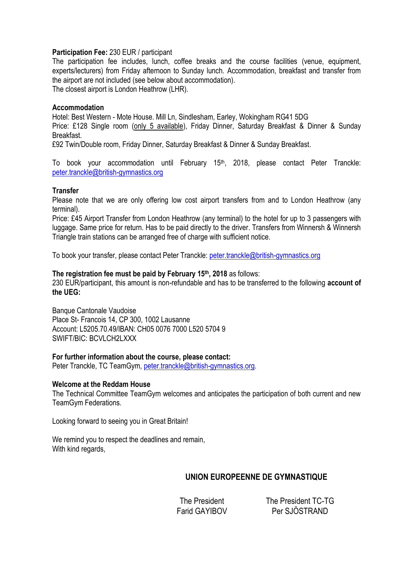#### **Participation Fee:** 230 EUR / participant

The participation fee includes, lunch, coffee breaks and the course facilities (venue, equipment, experts/lecturers) from Friday afternoon to Sunday lunch. Accommodation, breakfast and transfer from the airport are not included (see below about accommodation). The closest airport is London Heathrow (LHR).

#### **Accommodation**

Hotel: Best Western - Mote House. Mill Ln, Sindlesham, Earley, Wokingham RG41 5DG Price: £128 Single room (only 5 available), Friday Dinner, Saturday Breakfast & Dinner & Sunday Breakfast.

£92 Twin/Double room, Friday Dinner, Saturday Breakfast & Dinner & Sunday Breakfast.

To book your accommodation until February 15<sup>th</sup>, 2018, please contact Peter Tranckle: [peter.tranckle@british-gymnastics.org](mailto:peter.tranckle@british-gymnastics.org)

#### **Transfer**

Please note that we are only offering low cost airport transfers from and to London Heathrow (any terminal).

Price: £45 Airport Transfer from London Heathrow (any terminal) to the hotel for up to 3 passengers with luggage. Same price for return. Has to be paid directly to the driver. Transfers from Winnersh & Winnersh Triangle train stations can be arranged free of charge with sufficient notice.

To book your transfer, please contact Peter Tranckle: [peter.tranckle@british-gymnastics.org](mailto:peter.tranckle@british-gymnastics.org)

#### **The registration fee must be paid by February 15th, 2018** as follows:

230 EUR/participant, this amount is non-refundable and has to be transferred to the following **account of the UEG:** 

Banque Cantonale Vaudoise Place St- Francois 14, CP 300, 1002 Lausanne Account: L5205.70.49/IBAN: CH05 0076 7000 L520 5704 9 SWIFT/BIC: BCVLCH2LXXX

#### **For further information about the course, please contact:**

Peter Tranckle, TC TeamGym, [peter.tranckle@british-gymnastics.org.](mailto:peter.tranckle@british-gymnastics.org)

#### **Welcome at the Reddam House**

The Technical Committee TeamGym welcomes and anticipates the participation of both current and new TeamGym Federations.

Looking forward to seeing you in Great Britain!

We remind you to respect the deadlines and remain, With kind regards,

#### **UNION EUROPEENNE DE GYMNASTIQUE**

The President The President TC-TG Farid GAYIBOV Per SJÖSTRAND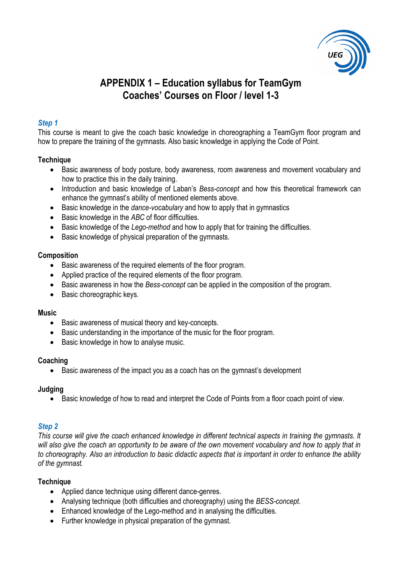

## **APPENDIX 1 – Education syllabus for TeamGym Coaches' Courses on Floor / level 1-3**

#### *Step 1*

This course is meant to give the coach basic knowledge in choreographing a TeamGym floor program and how to prepare the training of the gymnasts. Also basic knowledge in applying the Code of Point.

#### **Technique**

- Basic awareness of body posture, body awareness, room awareness and movement vocabulary and how to practice this in the daily training.
- Introduction and basic knowledge of Laban's *Bess-concept* and how this theoretical framework can enhance the gymnast's ability of mentioned elements above.
- Basic knowledge in the *dance-vocabulary* and how to apply that in gymnastics
- Basic knowledge in the *ABC* of floor difficulties.
- Basic knowledge of the *Lego-method* and how to apply that for training the difficulties.
- Basic knowledge of physical preparation of the gymnasts.

#### **Composition**

- Basic awareness of the required elements of the floor program.
- Applied practice of the required elements of the floor program.
- Basic awareness in how the *Bess-concept* can be applied in the composition of the program.
- Basic choreographic keys.

#### **Music**

- Basic awareness of musical theory and key-concepts.
- Basic understanding in the importance of the music for the floor program.
- Basic knowledge in how to analyse music.

#### **Coaching**

• Basic awareness of the impact you as a coach has on the gymnast's development

#### **Judging**

• Basic knowledge of how to read and interpret the Code of Points from a floor coach point of view.

#### *Step 2*

*This course will give the coach enhanced knowledge in different technical aspects in training the gymnasts. It will also give the coach an opportunity to be aware of the own movement vocabulary and how to apply that in to choreography. Also an introduction to basic didactic aspects that is important in order to enhance the ability of the gymnast.*

#### **Technique**

- Applied dance technique using different dance-genres.
- Analysing technique (both difficulties and choreography) using the *BESS-concept*.
- Enhanced knowledge of the Lego-method and in analysing the difficulties.
- Further knowledge in physical preparation of the gymnast.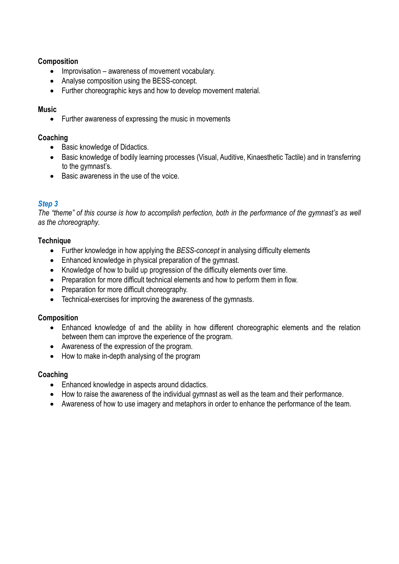#### **Composition**

- Improvisation awareness of movement vocabulary.
- Analyse composition using the BESS-concept.
- Further choreographic keys and how to develop movement material.

#### **Music**

• Further awareness of expressing the music in movements

#### **Coaching**

- Basic knowledge of Didactics.
- Basic knowledge of bodily learning processes (Visual, Auditive, Kinaesthetic Tactile) and in transferring to the gymnast's.
- Basic awareness in the use of the voice.

#### *Step 3*

*The "theme" of this course is how to accomplish perfection, both in the performance of the gymnast's as well as the choreography.*

#### **Technique**

- Further knowledge in how applying the *BESS-concept* in analysing difficulty elements
- Enhanced knowledge in physical preparation of the gymnast.
- Knowledge of how to build up progression of the difficulty elements over time.
- Preparation for more difficult technical elements and how to perform them in flow.
- Preparation for more difficult choreography.
- Technical-exercises for improving the awareness of the gymnasts.

#### **Composition**

- Enhanced knowledge of and the ability in how different choreographic elements and the relation between them can improve the experience of the program.
- Awareness of the expression of the program.
- How to make in-depth analysing of the program

#### **Coaching**

- Enhanced knowledge in aspects around didactics.
- How to raise the awareness of the individual gymnast as well as the team and their performance.
- Awareness of how to use imagery and metaphors in order to enhance the performance of the team.